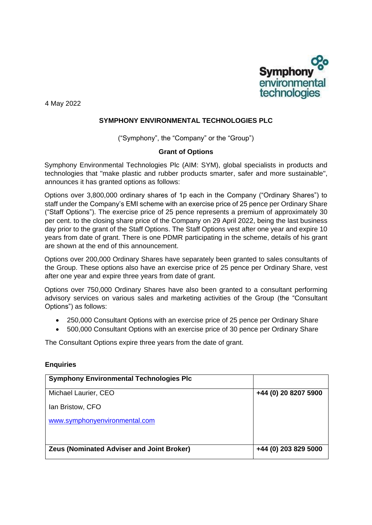

4 May 2022

## **SYMPHONY ENVIRONMENTAL TECHNOLOGIES PLC**

("Symphony", the "Company" or the "Group")

## **Grant of Options**

Symphony Environmental Technologies Plc (AIM: SYM), global specialists in products and technologies that "make plastic and rubber products smarter, safer and more sustainable", announces it has granted options as follows:

Options over 3,800,000 ordinary shares of 1p each in the Company ("Ordinary Shares") to staff under the Company's EMI scheme with an exercise price of 25 pence per Ordinary Share ("Staff Options"). The exercise price of 25 pence represents a premium of approximately 30 per cent. to the closing share price of the Company on 29 April 2022, being the last business day prior to the grant of the Staff Options. The Staff Options vest after one year and expire 10 years from date of grant. There is one PDMR participating in the scheme, details of his grant are shown at the end of this announcement.

Options over 200,000 Ordinary Shares have separately been granted to sales consultants of the Group. These options also have an exercise price of 25 pence per Ordinary Share, vest after one year and expire three years from date of grant.

Options over 750,000 Ordinary Shares have also been granted to a consultant performing advisory services on various sales and marketing activities of the Group (the "Consultant Options") as follows:

- 250,000 Consultant Options with an exercise price of 25 pence per Ordinary Share
- 500,000 Consultant Options with an exercise price of 30 pence per Ordinary Share

The Consultant Options expire three years from the date of grant.

## **Enquiries**

| <b>Symphony Environmental Technologies Plc</b>   |                      |
|--------------------------------------------------|----------------------|
| Michael Laurier, CEO                             | +44 (0) 20 8207 5900 |
| Ian Bristow, CFO                                 |                      |
| www.symphonyenvironmental.com                    |                      |
|                                                  |                      |
| <b>Zeus (Nominated Adviser and Joint Broker)</b> | +44 (0) 203 829 5000 |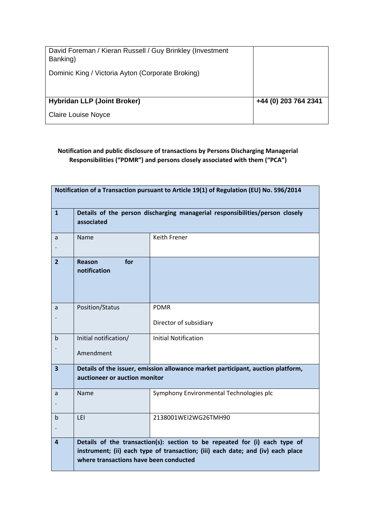| David Foreman / Kieran Russell / Guy Brinkley (Investment<br>Banking) |                      |
|-----------------------------------------------------------------------|----------------------|
| Dominic King / Victoria Ayton (Corporate Broking)                     |                      |
|                                                                       |                      |
| <b>Hybridan LLP (Joint Broker)</b>                                    | +44 (0) 203 764 2341 |
| <b>Claire Louise Noyce</b>                                            |                      |

## **Notification and public disclosure of transactions by Persons Discharging Managerial Responsibilities ("PDMR") and persons closely associated with them ("PCA")**

| Notification of a Transaction pursuant to Article 19(1) of Regulation (EU) No. 596/2014 |                                                                                                                                                                                                         |                                         |  |  |  |  |
|-----------------------------------------------------------------------------------------|---------------------------------------------------------------------------------------------------------------------------------------------------------------------------------------------------------|-----------------------------------------|--|--|--|--|
| $\mathbf{1}$                                                                            | Details of the person discharging managerial responsibilities/person closely<br>associated                                                                                                              |                                         |  |  |  |  |
| a                                                                                       | Name                                                                                                                                                                                                    | Keith Frener                            |  |  |  |  |
| $\overline{2}$                                                                          | for<br><b>Reason</b><br>notification                                                                                                                                                                    |                                         |  |  |  |  |
| a                                                                                       | Position/Status                                                                                                                                                                                         | <b>PDMR</b><br>Director of subsidiary   |  |  |  |  |
| b                                                                                       | Initial notification/<br>Amendment                                                                                                                                                                      | <b>Initial Notification</b>             |  |  |  |  |
| 3                                                                                       | Details of the issuer, emission allowance market participant, auction platform,<br>auctioneer or auction monitor                                                                                        |                                         |  |  |  |  |
| a                                                                                       | Name                                                                                                                                                                                                    | Symphony Environmental Technologies plc |  |  |  |  |
| b                                                                                       | LEI                                                                                                                                                                                                     | 2138001WEI2WG26TMH90                    |  |  |  |  |
| 4                                                                                       | Details of the transaction(s): section to be repeated for (i) each type of<br>instrument; (ii) each type of transaction; (iii) each date; and (iv) each place<br>where transactions have been conducted |                                         |  |  |  |  |